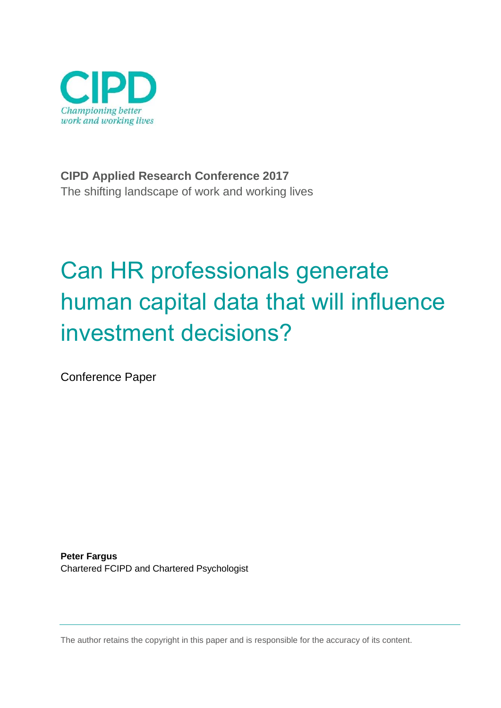

**CIPD Applied Research Conference 2017** The shifting landscape of work and working lives

# Can HR professionals generate human capital data that will influence investment decisions?

Conference Paper

**Peter Fargus** Chartered FCIPD and Chartered Psychologist

The author retains the copyright in this paper and is responsible for the accuracy of its content.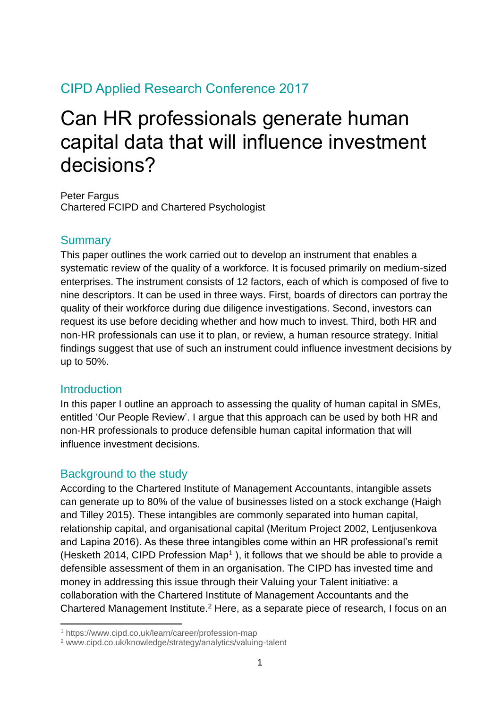# CIPD Applied Research Conference 2017

# Can HR professionals generate human capital data that will influence investment decisions?

Peter Fargus Chartered FCIPD and Chartered Psychologist

#### **Summary**

This paper outlines the work carried out to develop an instrument that enables a systematic review of the quality of a workforce. It is focused primarily on medium-sized enterprises. The instrument consists of 12 factors, each of which is composed of five to nine descriptors. It can be used in three ways. First, boards of directors can portray the quality of their workforce during due diligence investigations. Second, investors can request its use before deciding whether and how much to invest. Third, both HR and non-HR professionals can use it to plan, or review, a human resource strategy. Initial findings suggest that use of such an instrument could influence investment decisions by up to 50%.

#### **Introduction**

-

In this paper I outline an approach to assessing the quality of human capital in SMEs, entitled 'Our People Review'. I argue that this approach can be used by both HR and non-HR professionals to produce defensible human capital information that will influence investment decisions.

#### Background to the study

According to the Chartered Institute of Management Accountants, intangible assets can generate up to 80% of the value of businesses listed on a stock exchange (Haigh and Tilley 2015). These intangibles are commonly separated into human capital, relationship capital, and organisational capital (Meritum Project 2002, Lentjusenkova and Lapina 2016). As these three intangibles come within an HR professional's remit (Hesketh 2014, CIPD Profession Map<sup>1</sup>), it follows that we should be able to provide a defensible assessment of them in an organisation. The CIPD has invested time and money in addressing this issue through their Valuing your Talent initiative: a collaboration with the Chartered Institute of Management Accountants and the Chartered Management Institute.<sup>2</sup> Here, as a separate piece of research, I focus on an

<sup>1</sup> https://www.cipd.co.uk/learn/career/profession-map

<sup>2</sup> www.cipd.co.uk/knowledge/strategy/analytics/valuing-talent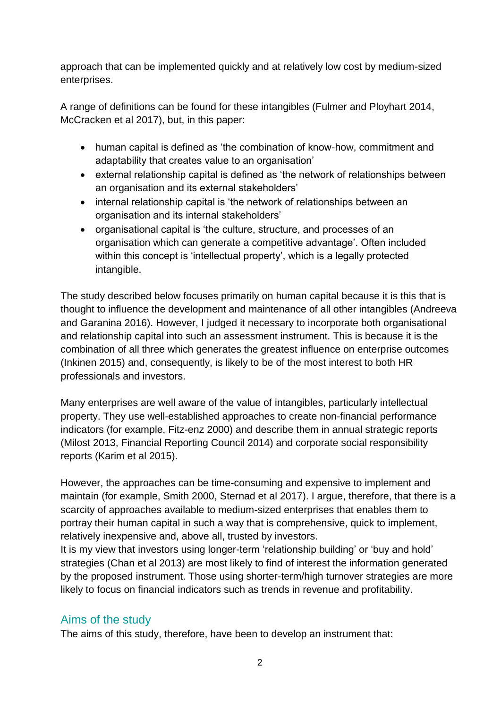approach that can be implemented quickly and at relatively low cost by medium-sized enterprises.

A range of definitions can be found for these intangibles (Fulmer and Ployhart 2014, McCracken et al 2017), but, in this paper:

- human capital is defined as 'the combination of know-how, commitment and adaptability that creates value to an organisation'
- external relationship capital is defined as 'the network of relationships between an organisation and its external stakeholders'
- internal relationship capital is 'the network of relationships between an organisation and its internal stakeholders'
- organisational capital is 'the culture, structure, and processes of an organisation which can generate a competitive advantage'. Often included within this concept is 'intellectual property', which is a legally protected intangible.

The study described below focuses primarily on human capital because it is this that is thought to influence the development and maintenance of all other intangibles (Andreeva and Garanina 2016). However, I judged it necessary to incorporate both organisational and relationship capital into such an assessment instrument. This is because it is the combination of all three which generates the greatest influence on enterprise outcomes (Inkinen 2015) and, consequently, is likely to be of the most interest to both HR professionals and investors.

Many enterprises are well aware of the value of intangibles, particularly intellectual property. They use well-established approaches to create non-financial performance indicators (for example, Fitz-enz 2000) and describe them in annual strategic reports (Milost 2013, Financial Reporting Council 2014) and corporate social responsibility reports (Karim et al 2015).

However, the approaches can be time-consuming and expensive to implement and maintain (for example, Smith 2000, Sternad et al 2017). I argue, therefore, that there is a scarcity of approaches available to medium-sized enterprises that enables them to portray their human capital in such a way that is comprehensive, quick to implement, relatively inexpensive and, above all, trusted by investors.

It is my view that investors using longer-term 'relationship building' or 'buy and hold' strategies (Chan et al 2013) are most likely to find of interest the information generated by the proposed instrument. Those using shorter-term/high turnover strategies are more likely to focus on financial indicators such as trends in revenue and profitability.

# Aims of the study

The aims of this study, therefore, have been to develop an instrument that: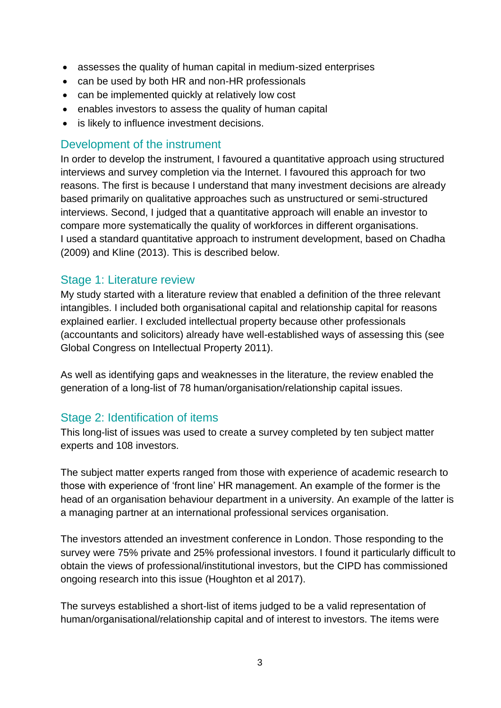- assesses the quality of human capital in medium-sized enterprises
- can be used by both HR and non-HR professionals
- can be implemented quickly at relatively low cost
- enables investors to assess the quality of human capital
- is likely to influence investment decisions.

#### Development of the instrument

In order to develop the instrument, I favoured a quantitative approach using structured interviews and survey completion via the Internet. I favoured this approach for two reasons. The first is because I understand that many investment decisions are already based primarily on qualitative approaches such as unstructured or semi-structured interviews. Second, I judged that a quantitative approach will enable an investor to compare more systematically the quality of workforces in different organisations. I used a standard quantitative approach to instrument development, based on Chadha (2009) and Kline (2013). This is described below.

#### Stage 1: Literature review

My study started with a literature review that enabled a definition of the three relevant intangibles. I included both organisational capital and relationship capital for reasons explained earlier. I excluded intellectual property because other professionals (accountants and solicitors) already have well-established ways of assessing this (see Global Congress on Intellectual Property 2011).

As well as identifying gaps and weaknesses in the literature, the review enabled the generation of a long-list of 78 human/organisation/relationship capital issues.

#### Stage 2: Identification of items

This long-list of issues was used to create a survey completed by ten subject matter experts and 108 investors.

The subject matter experts ranged from those with experience of academic research to those with experience of 'front line' HR management. An example of the former is the head of an organisation behaviour department in a university. An example of the latter is a managing partner at an international professional services organisation.

The investors attended an investment conference in London. Those responding to the survey were 75% private and 25% professional investors. I found it particularly difficult to obtain the views of professional/institutional investors, but the CIPD has commissioned ongoing research into this issue (Houghton et al 2017).

The surveys established a short-list of items judged to be a valid representation of human/organisational/relationship capital and of interest to investors. The items were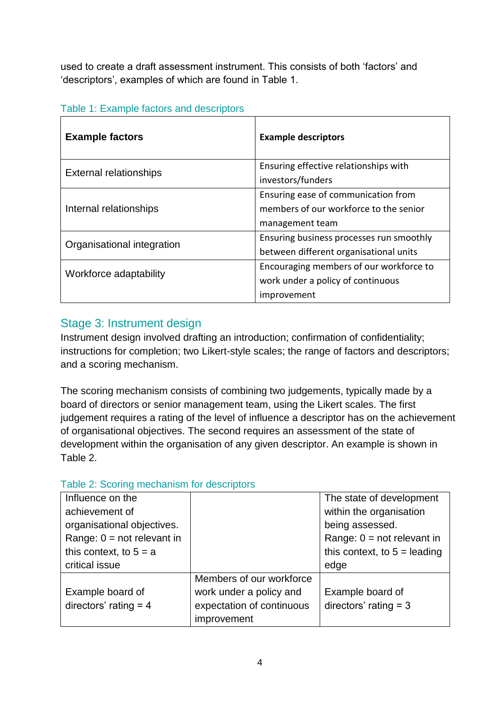used to create a draft assessment instrument. This consists of both 'factors' and 'descriptors', examples of which are found in Table 1.

| <b>Example factors</b>        | <b>Example descriptors</b>               |
|-------------------------------|------------------------------------------|
| <b>External relationships</b> | Ensuring effective relationships with    |
|                               | investors/funders                        |
| Internal relationships        | Ensuring ease of communication from      |
|                               | members of our workforce to the senior   |
|                               | management team                          |
| Organisational integration    | Ensuring business processes run smoothly |
|                               | between different organisational units   |
| Workforce adaptability        | Encouraging members of our workforce to  |
|                               | work under a policy of continuous        |
|                               | improvement                              |

#### Table 1: Example factors and descriptors

# Stage 3: Instrument design

Instrument design involved drafting an introduction; confirmation of confidentiality; instructions for completion; two Likert-style scales; the range of factors and descriptors; and a scoring mechanism.

The scoring mechanism consists of combining two judgements, typically made by a board of directors or senior management team, using the Likert scales. The first judgement requires a rating of the level of influence a descriptor has on the achievement of organisational objectives. The second requires an assessment of the state of development within the organisation of any given descriptor. An example is shown in Table 2.

#### Table 2: Scoring mechanism for descriptors

| Influence on the             |                           | The state of development       |
|------------------------------|---------------------------|--------------------------------|
| achievement of               |                           | within the organisation        |
| organisational objectives.   |                           | being assessed.                |
| Range: $0 = not$ relevant in |                           | Range: $0 = not$ relevant in   |
| this context, to $5 = a$     |                           | this context, to $5 =$ leading |
|                              |                           |                                |
| critical issue               |                           | edge                           |
|                              | Members of our workforce  |                                |
| Example board of             | work under a policy and   | Example board of               |
| directors' rating $=$ 4      | expectation of continuous | directors' rating $=$ 3        |
|                              | improvement               |                                |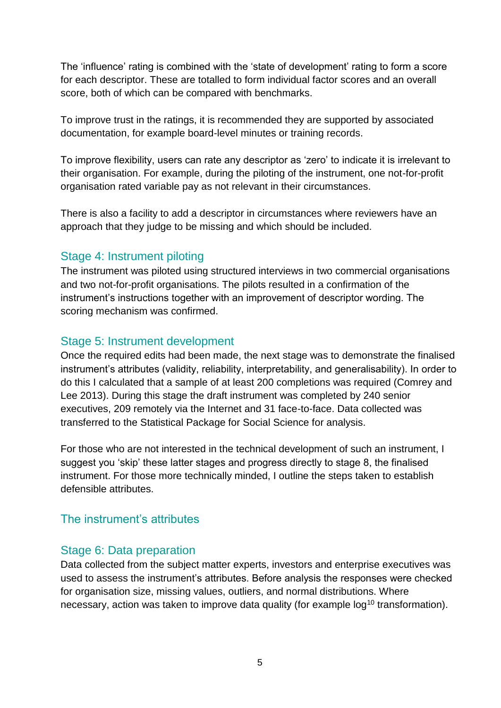The 'influence' rating is combined with the 'state of development' rating to form a score for each descriptor. These are totalled to form individual factor scores and an overall score, both of which can be compared with benchmarks.

To improve trust in the ratings, it is recommended they are supported by associated documentation, for example board-level minutes or training records.

To improve flexibility, users can rate any descriptor as 'zero' to indicate it is irrelevant to their organisation. For example, during the piloting of the instrument, one not-for-profit organisation rated variable pay as not relevant in their circumstances.

There is also a facility to add a descriptor in circumstances where reviewers have an approach that they judge to be missing and which should be included.

#### Stage 4: Instrument piloting

The instrument was piloted using structured interviews in two commercial organisations and two not-for-profit organisations. The pilots resulted in a confirmation of the instrument's instructions together with an improvement of descriptor wording. The scoring mechanism was confirmed.

#### Stage 5: Instrument development

Once the required edits had been made, the next stage was to demonstrate the finalised instrument's attributes (validity, reliability, interpretability, and generalisability). In order to do this I calculated that a sample of at least 200 completions was required (Comrey and Lee 2013). During this stage the draft instrument was completed by 240 senior executives, 209 remotely via the Internet and 31 face-to-face. Data collected was transferred to the Statistical Package for Social Science for analysis.

For those who are not interested in the technical development of such an instrument, I suggest you 'skip' these latter stages and progress directly to stage 8, the finalised instrument. For those more technically minded, I outline the steps taken to establish defensible attributes.

# The instrument's attributes

# Stage 6: Data preparation

Data collected from the subject matter experts, investors and enterprise executives was used to assess the instrument's attributes. Before analysis the responses were checked for organisation size, missing values, outliers, and normal distributions. Where necessary, action was taken to improve data quality (for example  $log<sup>10</sup>$  transformation).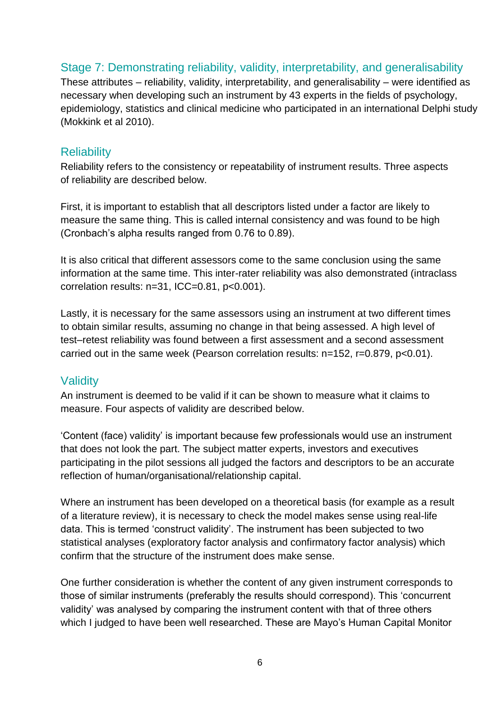#### Stage 7: Demonstrating reliability, validity, interpretability, and generalisability

These attributes – reliability, validity, interpretability, and generalisability – were identified as necessary when developing such an instrument by 43 experts in the fields of psychology, epidemiology, statistics and clinical medicine who participated in an international Delphi study (Mokkink et al 2010).

#### **Reliability**

Reliability refers to the consistency or repeatability of instrument results. Three aspects of reliability are described below.

First, it is important to establish that all descriptors listed under a factor are likely to measure the same thing. This is called internal consistency and was found to be high (Cronbach's alpha results ranged from 0.76 to 0.89).

It is also critical that different assessors come to the same conclusion using the same information at the same time. This inter-rater reliability was also demonstrated (intraclass correlation results: n=31, ICC=0.81, p<0.001).

Lastly, it is necessary for the same assessors using an instrument at two different times to obtain similar results, assuming no change in that being assessed. A high level of test–retest reliability was found between a first assessment and a second assessment carried out in the same week (Pearson correlation results: n=152, r=0.879, p<0.01).

#### **Validity**

An instrument is deemed to be valid if it can be shown to measure what it claims to measure. Four aspects of validity are described below.

'Content (face) validity' is important because few professionals would use an instrument that does not look the part. The subject matter experts, investors and executives participating in the pilot sessions all judged the factors and descriptors to be an accurate reflection of human/organisational/relationship capital.

Where an instrument has been developed on a theoretical basis (for example as a result of a literature review), it is necessary to check the model makes sense using real-life data. This is termed 'construct validity'. The instrument has been subjected to two statistical analyses (exploratory factor analysis and confirmatory factor analysis) which confirm that the structure of the instrument does make sense.

One further consideration is whether the content of any given instrument corresponds to those of similar instruments (preferably the results should correspond). This 'concurrent validity' was analysed by comparing the instrument content with that of three others which I judged to have been well researched. These are Mayo's Human Capital Monitor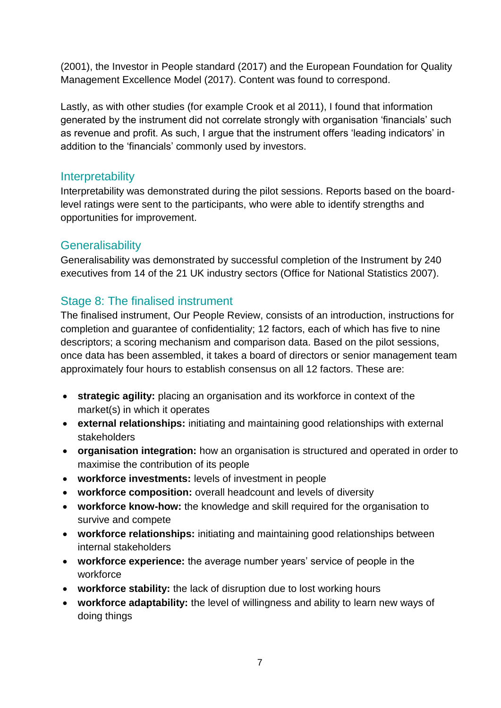(2001), the Investor in People standard (2017) and the European Foundation for Quality Management Excellence Model (2017). Content was found to correspond.

Lastly, as with other studies (for example Crook et al 2011), I found that information generated by the instrument did not correlate strongly with organisation 'financials' such as revenue and profit. As such, I argue that the instrument offers 'leading indicators' in addition to the 'financials' commonly used by investors.

#### **Interpretability**

Interpretability was demonstrated during the pilot sessions. Reports based on the boardlevel ratings were sent to the participants, who were able to identify strengths and opportunities for improvement.

# **Generalisability**

Generalisability was demonstrated by successful completion of the Instrument by 240 executives from 14 of the 21 UK industry sectors (Office for National Statistics 2007).

# Stage 8: The finalised instrument

The finalised instrument, Our People Review, consists of an introduction, instructions for completion and guarantee of confidentiality; 12 factors, each of which has five to nine descriptors; a scoring mechanism and comparison data. Based on the pilot sessions, once data has been assembled, it takes a board of directors or senior management team approximately four hours to establish consensus on all 12 factors. These are:

- **strategic agility:** placing an organisation and its workforce in context of the market(s) in which it operates
- **external relationships:** initiating and maintaining good relationships with external stakeholders
- **organisation integration:** how an organisation is structured and operated in order to maximise the contribution of its people
- **workforce investments:** levels of investment in people
- **workforce composition:** overall headcount and levels of diversity
- **workforce know-how:** the knowledge and skill required for the organisation to survive and compete
- **workforce relationships:** initiating and maintaining good relationships between internal stakeholders
- **workforce experience:** the average number years' service of people in the workforce
- **workforce stability:** the lack of disruption due to lost working hours
- **workforce adaptability:** the level of willingness and ability to learn new ways of doing things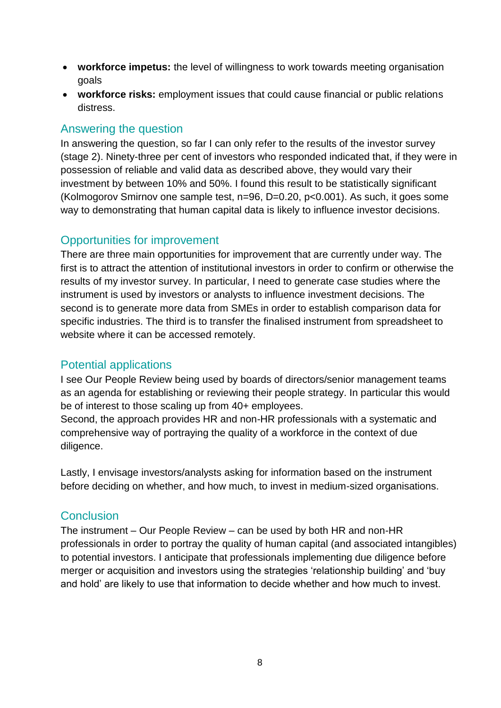- **workforce impetus:** the level of willingness to work towards meeting organisation goals
- **workforce risks:** employment issues that could cause financial or public relations distress.

#### Answering the question

In answering the question, so far I can only refer to the results of the investor survey (stage 2). Ninety-three per cent of investors who responded indicated that, if they were in possession of reliable and valid data as described above, they would vary their investment by between 10% and 50%. I found this result to be statistically significant (Kolmogorov Smirnov one sample test, n=96, D=0.20, p<0.001). As such, it goes some way to demonstrating that human capital data is likely to influence investor decisions.

# Opportunities for improvement

There are three main opportunities for improvement that are currently under way. The first is to attract the attention of institutional investors in order to confirm or otherwise the results of my investor survey. In particular, I need to generate case studies where the instrument is used by investors or analysts to influence investment decisions. The second is to generate more data from SMEs in order to establish comparison data for specific industries. The third is to transfer the finalised instrument from spreadsheet to website where it can be accessed remotely.

# Potential applications

I see Our People Review being used by boards of directors/senior management teams as an agenda for establishing or reviewing their people strategy. In particular this would be of interest to those scaling up from 40+ employees.

Second, the approach provides HR and non-HR professionals with a systematic and comprehensive way of portraying the quality of a workforce in the context of due diligence.

Lastly, I envisage investors/analysts asking for information based on the instrument before deciding on whether, and how much, to invest in medium-sized organisations.

# **Conclusion**

The instrument – Our People Review – can be used by both HR and non-HR professionals in order to portray the quality of human capital (and associated intangibles) to potential investors. I anticipate that professionals implementing due diligence before merger or acquisition and investors using the strategies 'relationship building' and 'buy and hold' are likely to use that information to decide whether and how much to invest.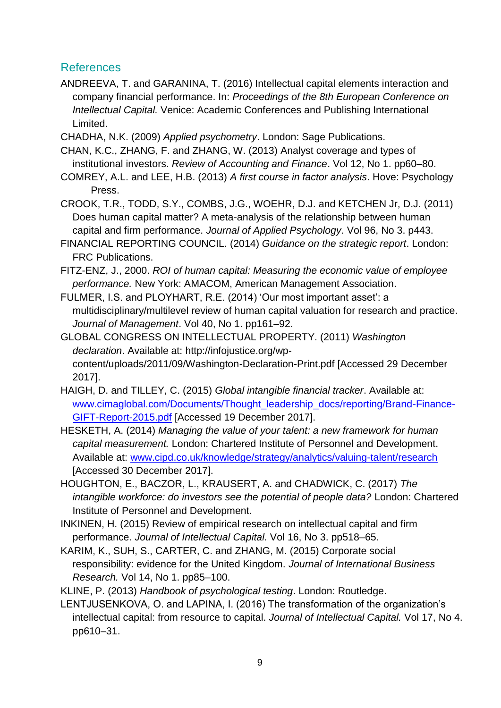# References

ANDREEVA, T. and GARANINA, T. (2016) Intellectual capital elements interaction and company financial performance. In: *Proceedings of the 8th European Conference on Intellectual Capital.* Venice: Academic Conferences and Publishing International Limited.

CHADHA, N.K. (2009) *Applied psychometry*. London: Sage Publications.

- CHAN, K.C., ZHANG, F. and ZHANG, W. (2013) Analyst coverage and types of institutional investors. *Review of Accounting and Finance*. Vol 12, No 1. pp60–80.
- COMREY, A.L. and LEE, H.B. (2013) *A first course in factor analysis*. Hove: Psychology Press.
- CROOK, T.R., TODD, S.Y., COMBS, J.G., WOEHR, D.J. and KETCHEN Jr, D.J. (2011) Does human capital matter? A meta-analysis of the relationship between human capital and firm performance. *Journal of Applied Psychology*. Vol 96, No 3. p443.
- FINANCIAL REPORTING COUNCIL. (2014) *Guidance on the strategic report*. London: FRC Publications.
- FITZ-ENZ, J., 2000. *ROI of human capital: Measuring the economic value of employee performance.* New York: AMACOM, American Management Association.
- FULMER, I.S. and PLOYHART, R.E. (2014) 'Our most important asset': a multidisciplinary/multilevel review of human capital valuation for research and practice. *Journal of Management*. Vol 40, No 1. pp161–92.

GLOBAL CONGRESS ON INTELLECTUAL PROPERTY. (2011) *Washington declaration*. Available at: http://infojustice.org/wpcontent/uploads/2011/09/Washington-Declaration-Print.pdf [Accessed 29 December 2017].

- HAIGH, D. and TILLEY, C. (2015) *Global intangible financial tracker*. Available at: [www.cimaglobal.com/Documents/Thought\\_leadership\\_docs/reporting/Brand-Finance-](http://www.cimaglobal.com/Documents/Thought_leadership_docs/reporting/Brand-Finance-GIFT-Report-2015.pdf)[GIFT-Report-2015.pdf](http://www.cimaglobal.com/Documents/Thought_leadership_docs/reporting/Brand-Finance-GIFT-Report-2015.pdf) [Accessed 19 December 2017].
- HESKETH, A. (2014) *Managing the value of your talent: a new framework for human capital measurement.* London: Chartered Institute of Personnel and Development. Available at: [www.cipd.co.uk/knowledge/strategy/analytics/valuing-talent/research](http://www.cipd.co.uk/knowledge/strategy/analytics/valuing-talent/research) [Accessed 30 December 2017].
- HOUGHTON, E., BACZOR, L., KRAUSERT, A. and CHADWICK, C. (2017) *The intangible workforce: do investors see the potential of people data?* London: Chartered Institute of Personnel and Development.
- INKINEN, H. (2015) Review of empirical research on intellectual capital and firm performance. *Journal of Intellectual Capital.* Vol 16, No 3. pp518–65.
- KARIM, K., SUH, S., CARTER, C. and ZHANG, M. (2015) Corporate social responsibility: evidence for the United Kingdom. *Journal of International Business Research.* Vol 14, No 1. pp85–100.

KLINE, P. (2013) *Handbook of psychological testing*. London: Routledge.

LENTJUSENKOVA, O. and LAPINA, I. (2016) The transformation of the organization's intellectual capital: from resource to capital. *Journal of Intellectual Capital.* Vol 17, No 4. pp610–31.